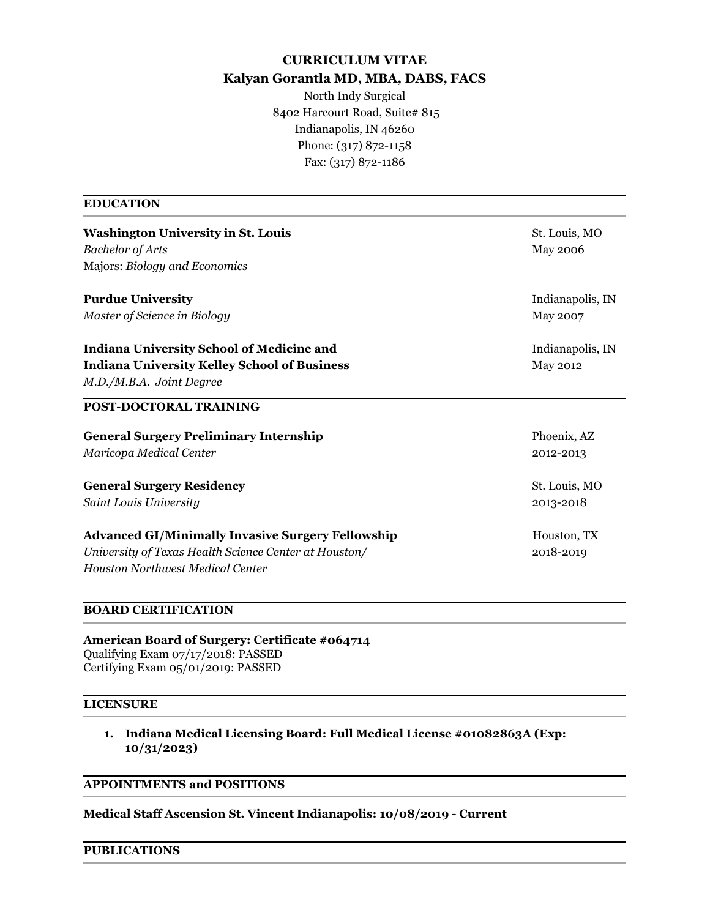# **CURRICULUM VITAE Kalyan Gorantla MD, MBA, DABS, FACS**

North Indy Surgical 8402 Harcourt Road, Suite# 815 Indianapolis, IN 46260 Phone: (317) 872-1158 Fax: (317) 872-1186

## **EDUCATION**

| <b>Washington University in St. Louis</b>                | St. Louis, MO    |
|----------------------------------------------------------|------------------|
| <b>Bachelor</b> of Arts                                  | <b>May 2006</b>  |
| Majors: Biology and Economics                            |                  |
| <b>Purdue University</b>                                 | Indianapolis, IN |
| Master of Science in Biology                             | May 2007         |
| <b>Indiana University School of Medicine and</b>         | Indianapolis, IN |
| <b>Indiana University Kelley School of Business</b>      | <b>May 2012</b>  |
| M.D./M.B.A. Joint Degree                                 |                  |
| <b>POST-DOCTORAL TRAINING</b>                            |                  |
| <b>General Surgery Preliminary Internship</b>            | Phoenix, AZ      |
| Maricopa Medical Center                                  | 2012-2013        |
| <b>General Surgery Residency</b>                         | St. Louis, MO    |
| Saint Louis University                                   | 2013-2018        |
| <b>Advanced GI/Minimally Invasive Surgery Fellowship</b> | Houston, TX      |
| University of Texas Health Science Center at Houston/    | 2018-2019        |
| <b>Houston Northwest Medical Center</b>                  |                  |
| <b>BOARD CERTIFICATION</b>                               |                  |

**American Board of Surgery: Certificate #064714** Qualifying Exam 07/17/2018: PASSED Certifying Exam 05/01/2019: PASSED

## **LICENSURE**

**1. Indiana Medical Licensing Board: Full Medical License #01082863A (Exp: 10/31/2023)**

# **APPOINTMENTS and POSITIONS**

**Medical Staff Ascension St. Vincent Indianapolis: 10/08/2019 - Current**

## **PUBLICATIONS**